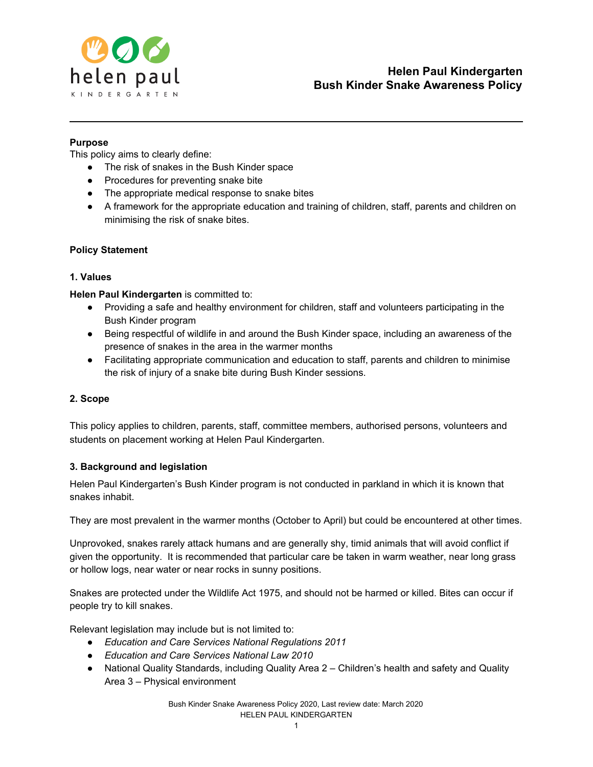

## **Purpose**

This policy aims to clearly define:

- The risk of snakes in the Bush Kinder space
- Procedures for preventing snake bite
- The appropriate medical response to snake bites
- A framework for the appropriate education and training of children, staff, parents and children on minimising the risk of snake bites.

## **Policy Statement**

## **1. Values**

**Helen Paul Kindergarten** is committed to:

- Providing a safe and healthy environment for children, staff and volunteers participating in the Bush Kinder program
- Being respectful of wildlife in and around the Bush Kinder space, including an awareness of the presence of snakes in the area in the warmer months
- Facilitating appropriate communication and education to staff, parents and children to minimise the risk of injury of a snake bite during Bush Kinder sessions.

## **2. Scope**

This policy applies to children, parents, staff, committee members, authorised persons, volunteers and students on placement working at Helen Paul Kindergarten.

## **3. Background and legislation**

Helen Paul Kindergarten's Bush Kinder program is not conducted in parkland in which it is known that snakes inhabit.

They are most prevalent in the warmer months (October to April) but could be encountered at other times.

Unprovoked, snakes rarely attack humans and are generally shy, timid animals that will avoid conflict if given the opportunity. It is recommended that particular care be taken in warm weather, near long grass or hollow logs, near water or near rocks in sunny positions.

Snakes are protected under the Wildlife Act 1975, and should not be harmed or killed. Bites can occur if people try to kill snakes.

Relevant legislation may include but is not limited to:

- *Education and Care Services National Regulations 2011*
- *Education and Care Services National Law 2010*
- National Quality Standards, including Quality Area 2 Children's health and safety and Quality Area 3 – Physical environment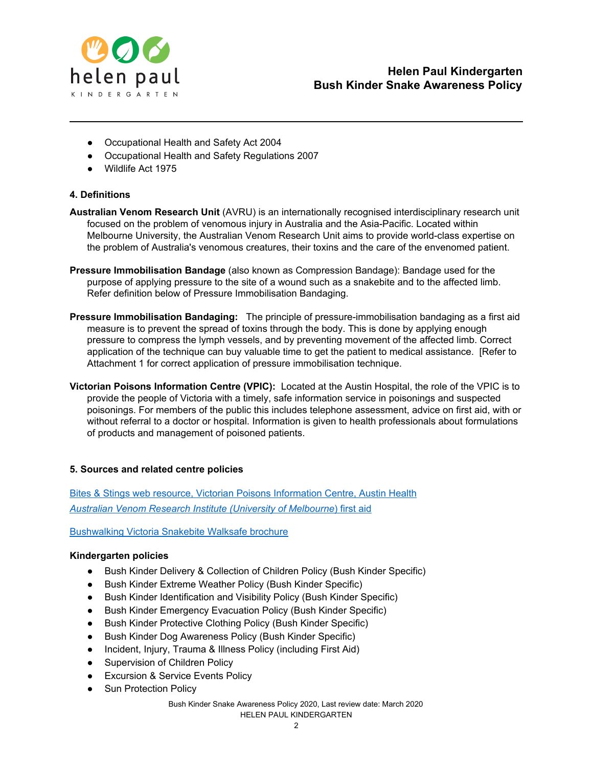

- Occupational Health and Safety Act 2004
- Occupational Health and Safety Regulations 2007
- Wildlife Act 1975

## **4. Definitions**

- **Australian Venom Research Unit** (AVRU) is an internationally recognised interdisciplinary research unit focused on the problem of venomous injury in Australia and the Asia-Pacific. Located within Melbourne University, the Australian Venom Research Unit aims to provide world-class expertise on the problem of Australia's venomous creatures, their toxins and the care of the envenomed patient.
- **Pressure Immobilisation Bandage** (also known as Compression Bandage): Bandage used for the purpose of applying pressure to the site of a wound such as a snakebite and to the affected limb. Refer definition below of Pressure Immobilisation Bandaging.
- **Pressure Immobilisation Bandaging:** The principle of pressure-immobilisation bandaging as a first aid measure is to prevent the spread of toxins through the body. This is done by applying enough pressure to compress the lymph vessels, and by preventing movement of the affected limb. Correct application of the technique can buy valuable time to get the patient to medical assistance. [Refer to Attachment 1 for correct application of pressure immobilisation technique.
- **Victorian Poisons Information Centre (VPIC):** Located at the Austin Hospital, the role of the VPIC is to provide the people of Victoria with a timely, safe information service in poisonings and suspected poisonings. For members of the public this includes telephone assessment, advice on first aid, with or without referral to a doctor or hospital. Information is given to health professionals about formulations of products and management of poisoned patients.

## **5. Sources and related centre policies**

Bites & Stings web resource, Victorian Poisons [Information](http://www.austin.org.au/poisons) Centre, Austin Health *Australian Venom Research Institute [\(University](https://biomedicalsciences.unimelb.edu.au/departments/pharmacology/engage/avru/discover/first-aid) of Melbourne*) [first](https://biomedicalsciences.unimelb.edu.au/departments/pharmacology/engage/avru/discover/first-aid) aid

[Bushwalking](https://bushwalkingvictoria.org.au/files/walksafe_booklet.pdf) Victoria Snakebite Walksafe brochure

#### **Kindergarten policies**

- Bush Kinder Delivery & Collection of Children Policy (Bush Kinder Specific)
- Bush Kinder Extreme Weather Policy (Bush Kinder Specific)
- Bush Kinder Identification and Visibility Policy (Bush Kinder Specific)
- Bush Kinder Emergency Evacuation Policy (Bush Kinder Specific)
- Bush Kinder Protective Clothing Policy (Bush Kinder Specific)
- Bush Kinder Dog Awareness Policy (Bush Kinder Specific)
- Incident, Injury, Trauma & Illness Policy (including First Aid)
- Supervision of Children Policy
- Excursion & Service Events Policy
- Sun Protection Policy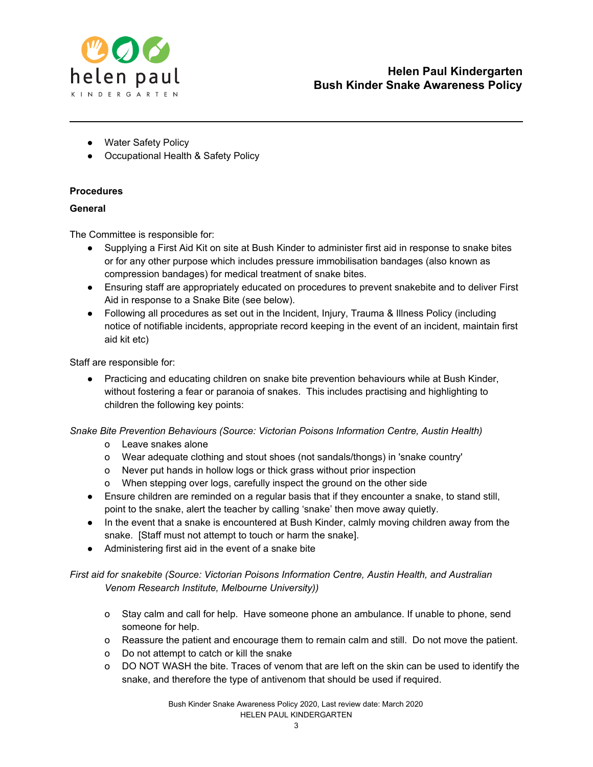

- Water Safety Policy
- Occupational Health & Safety Policy

# **Procedures**

# **General**

The Committee is responsible for:

- Supplying a First Aid Kit on site at Bush Kinder to administer first aid in response to snake bites or for any other purpose which includes pressure immobilisation bandages (also known as compression bandages) for medical treatment of snake bites.
- Ensuring staff are appropriately educated on procedures to prevent snakebite and to deliver First Aid in response to a Snake Bite (see below).
- Following all procedures as set out in the Incident, Injury, Trauma & Illness Policy (including notice of notifiable incidents, appropriate record keeping in the event of an incident, maintain first aid kit etc)

Staff are responsible for:

● Practicing and educating children on snake bite prevention behaviours while at Bush Kinder, without fostering a fear or paranoia of snakes. This includes practising and highlighting to children the following key points:

*Snake Bite Prevention Behaviours (Source: Victorian Poisons Information Centre, Austin Health)*

- o Leave snakes alone
- o Wear adequate clothing and stout shoes (not sandals/thongs) in 'snake country'
- o Never put hands in hollow logs or thick grass without prior inspection
- o When stepping over logs, carefully inspect the ground on the other side
- Ensure children are reminded on a regular basis that if they encounter a snake, to stand still, point to the snake, alert the teacher by calling 'snake' then move away quietly.
- In the event that a snake is encountered at Bush Kinder, calmly moving children away from the snake. [Staff must not attempt to touch or harm the snake].
- Administering first aid in the event of a snake bite

*First aid for snakebite (Source: Victorian Poisons Information Centre, Austin Health, and Australian Venom Research Institute, Melbourne University))*

- o Stay calm and call for help. Have someone phone an ambulance. If unable to phone, send someone for help.
- o Reassure the patient and encourage them to remain calm and still. Do not move the patient.
- o Do not attempt to catch or kill the snake
- o DO NOT WASH the bite. Traces of venom that are left on the skin can be used to identify the snake, and therefore the type of antivenom that should be used if required.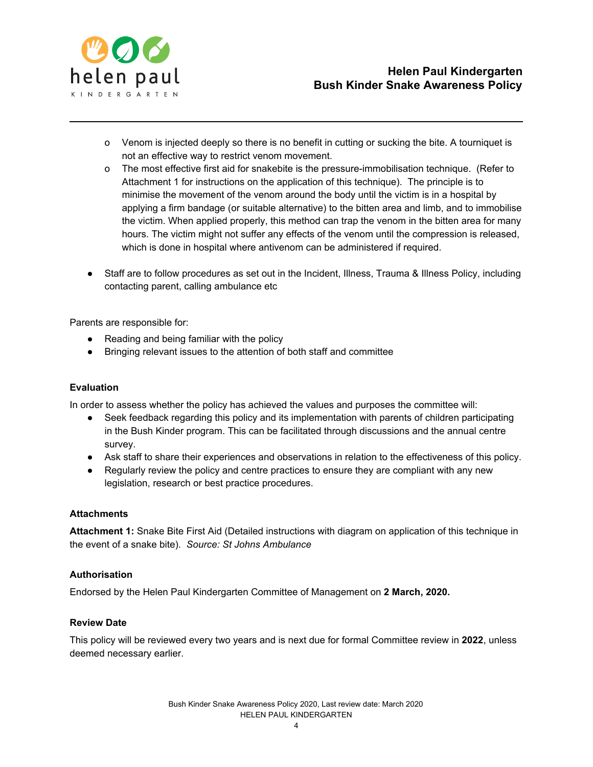

- o Venom is injected deeply so there is no benefit in cutting or sucking the bite. A tourniquet is not an effective way to restrict venom movement.
- o The most effective first aid for snakebite is the [pressure-immobilisation](http://www.austin.org.au/Page.aspx?ID=534#16) technique. (Refer to Attachment 1 for instructions on the application of this technique). The principle is to minimise the movement of the venom around the body until the victim is in a hospital by applying a firm bandage (or suitable alternative) to the bitten area and limb, and to immobilise the victim. When applied properly, this method can trap the venom in the bitten area for many hours. The victim might not suffer any effects of the venom until the compression is released, which is done in hospital where antivenom can be administered if required.
- Staff are to follow procedures as set out in the Incident, Illness, Trauma & Illness Policy, including contacting parent, calling ambulance etc

Parents are responsible for:

- Reading and being familiar with the policy
- Bringing relevant issues to the attention of both staff and committee

#### **Evaluation**

In order to assess whether the policy has achieved the values and purposes the committee will:

- Seek feedback regarding this policy and its implementation with parents of children participating in the Bush Kinder program. This can be facilitated through discussions and the annual centre survey.
- Ask staff to share their experiences and observations in relation to the effectiveness of this policy.
- Regularly review the policy and centre practices to ensure they are compliant with any new legislation, research or best practice procedures.

#### **Attachments**

**Attachment 1:** Snake Bite First Aid (Detailed instructions with diagram on application of this technique in the event of a snake bite). *Source: St Johns Ambulance*

#### **Authorisation**

Endorsed by the Helen Paul Kindergarten Committee of Management on **2 March, 2020.**

#### **Review Date**

This policy will be reviewed every two years and is next due for formal Committee review in **2022**, unless deemed necessary earlier.